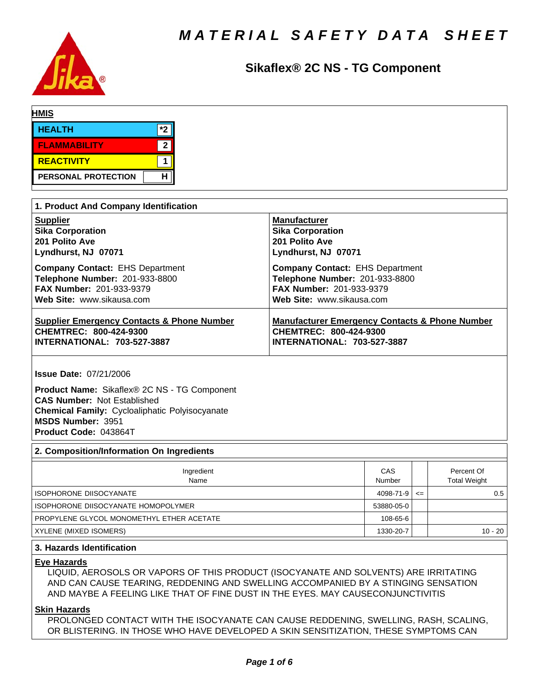

# **Sikaflex® 2C NS - TG Component**

| <b>HMIS</b>         |  |                |  |  |  |
|---------------------|--|----------------|--|--|--|
| <b>HEALTH</b>       |  | $*$            |  |  |  |
| <b>FLAMMABILITY</b> |  | $\overline{2}$ |  |  |  |
| <b>REACTIVITY</b>   |  |                |  |  |  |
| PERSONAL PROTECTION |  | н              |  |  |  |

| 1. Product And Company Identification                 |                                                           |  |  |  |  |  |  |
|-------------------------------------------------------|-----------------------------------------------------------|--|--|--|--|--|--|
| <b>Supplier</b>                                       | <b>Manufacturer</b>                                       |  |  |  |  |  |  |
| <b>Sika Corporation</b>                               | <b>Sika Corporation</b>                                   |  |  |  |  |  |  |
| 201 Polito Ave                                        | 201 Polito Ave                                            |  |  |  |  |  |  |
| Lyndhurst, NJ 07071                                   | Lyndhurst, NJ 07071                                       |  |  |  |  |  |  |
| <b>Company Contact: EHS Department</b>                | <b>Company Contact: EHS Department</b>                    |  |  |  |  |  |  |
| Telephone Number: 201-933-8800                        | Telephone Number: 201-933-8800                            |  |  |  |  |  |  |
| <b>FAX Number: 201-933-9379</b>                       | <b>FAX Number: 201-933-9379</b>                           |  |  |  |  |  |  |
| Web Site: www.sikausa.com                             | Web Site: www.sikausa.com                                 |  |  |  |  |  |  |
| <b>Supplier Emergency Contacts &amp; Phone Number</b> | <b>Manufacturer Emergency Contacts &amp; Phone Number</b> |  |  |  |  |  |  |
| CHEMTREC: 800-424-9300                                | CHEMTREC: 800-424-9300                                    |  |  |  |  |  |  |
| <b>INTERNATIONAL: 703-527-3887</b>                    | <b>INTERNATIONAL: 703-527-3887</b>                        |  |  |  |  |  |  |

**Issue Date:** 07/21/2006

**Product Name:** Sikaflex® 2C NS - TG Component **CAS Number:** Not Established **Chemical Family:** Cycloaliphatic Polyisocyanate **MSDS Number:** 3951 **Product Code:** 043864T

## **2. Composition/Information On Ingredients**

| Ingredient<br>Name                        | CAS<br>Number |        | Percent Of<br><b>Total Weight</b> |
|-------------------------------------------|---------------|--------|-----------------------------------|
| <b>ISOPHORONE DIISOCYANATE</b>            | 4098-71-9     | $\leq$ | 0.5                               |
| ISOPHORONE DIISOCYANATE HOMOPOLYMER       | 53880-05-0    |        |                                   |
| PROPYLENE GLYCOL MONOMETHYL ETHER ACETATE | 108-65-6      |        |                                   |
| XYLENE (MIXED ISOMERS)                    | 1330-20-7     |        | $10 - 20$                         |

## **3. Hazards Identification**

### **Eye Hazards**

LIQUID, AEROSOLS OR VAPORS OF THIS PRODUCT (ISOCYANATE AND SOLVENTS) ARE IRRITATING AND CAN CAUSE TEARING, REDDENING AND SWELLING ACCOMPANIED BY A STINGING SENSATION AND MAYBE A FEELING LIKE THAT OF FINE DUST IN THE EYES. MAY CAUSECONJUNCTIVITIS

#### **Skin Hazards**

PROLONGED CONTACT WITH THE ISOCYANATE CAN CAUSE REDDENING, SWELLING, RASH, SCALING, OR BLISTERING. IN THOSE WHO HAVE DEVELOPED A SKIN SENSITIZATION, THESE SYMPTOMS CAN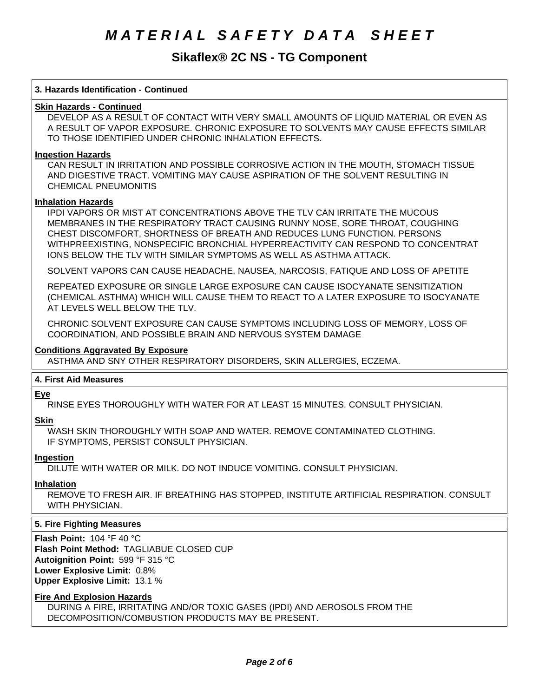# **Sikaflex® 2C NS - TG Component**

#### **3. Hazards Identification - Continued**

## **Skin Hazards - Continued**

DEVELOP AS A RESULT OF CONTACT WITH VERY SMALL AMOUNTS OF LIQUID MATERIAL OR EVEN AS A RESULT OF VAPOR EXPOSURE. CHRONIC EXPOSURE TO SOLVENTS MAY CAUSE EFFECTS SIMILAR TO THOSE IDENTIFIED UNDER CHRONIC INHALATION EFFECTS.

#### **Ingestion Hazards**

CAN RESULT IN IRRITATION AND POSSIBLE CORROSIVE ACTION IN THE MOUTH, STOMACH TISSUE AND DIGESTIVE TRACT. VOMITING MAY CAUSE ASPIRATION OF THE SOLVENT RESULTING IN CHEMICAL PNEUMONITIS

#### **Inhalation Hazards**

IPDI VAPORS OR MIST AT CONCENTRATIONS ABOVE THE TLV CAN IRRITATE THE MUCOUS MEMBRANES IN THE RESPIRATORY TRACT CAUSING RUNNY NOSE, SORE THROAT, COUGHING CHEST DISCOMFORT, SHORTNESS OF BREATH AND REDUCES LUNG FUNCTION. PERSONS WITHPREEXISTING, NONSPECIFIC BRONCHIAL HYPERREACTIVITY CAN RESPOND TO CONCENTRAT IONS BELOW THE TLV WITH SIMILAR SYMPTOMS AS WELL AS ASTHMA ATTACK.

SOLVENT VAPORS CAN CAUSE HEADACHE, NAUSEA, NARCOSIS, FATIQUE AND LOSS OF APETITE

REPEATED EXPOSURE OR SINGLE LARGE EXPOSURE CAN CAUSE ISOCYANATE SENSITIZATION (CHEMICALASTHMA)WHICHWILLCAUSETHEMTOREACTTOALATEREXPOSURETOISOCYANATE AT LEVELS WELL BELOW THE TLV.

CHRONIC SOLVENT EXPOSURE CAN CAUSE SYMPTOMS INCLUDING LOSS OF MEMORY, LOSS OF COORDINATION, AND POSSIBLE BRAIN AND NERVOUS SYSTEM DAMAGE

#### **Conditions Aggravated By Exposure**

ASTHMA AND SNY OTHER RESPIRATORY DISORDERS, SKIN ALLERGIES, ECZEMA.

#### **4.First AidMeasures**

#### **Eye**

RINSE EYES THOROUGHLY WITH WATER FOR AT LEAST 15 MINUTES. CONSULT PHYSICIAN.

**Skin**

WASH SKIN THOROUGHLY WITH SOAP AND WATER. REMOVE CONTAMINATED CLOTHING. IF SYMPTOMS, PERSIST CONSULT PHYSICIAN.

## **Ingestion**

DILUTE WITH WATER OR MILK. DO NOT INDUCE VOMITING. CONSULT PHYSICIAN.

#### **Inhalation**

REMOVE TO FRESH AIR. IF BREATHING HAS STOPPED, INSTITUTE ARTIFICIAL RESPIRATION. CONSULT WITH PHYSICIAN.

#### **5. Fire Fighting Measures**

**Flash Point:** 104°F40°C **Flash Point Method:** TAGLIABUE CLOSED CUP **Autoignition Point:** 599°F315°C **Lower Explosive Limit:** 0.8% **Upper Explosive Limit:** 13.1%

#### **Fire And Explosion Hazards**

DURING A FIRE, IRRITATING AND/OR TOXIC GASES (IPDI) AND AEROSOLS FROM THE DECOMPOSITION/COMBUSTION PRODUCTS MAY BE PRESENT.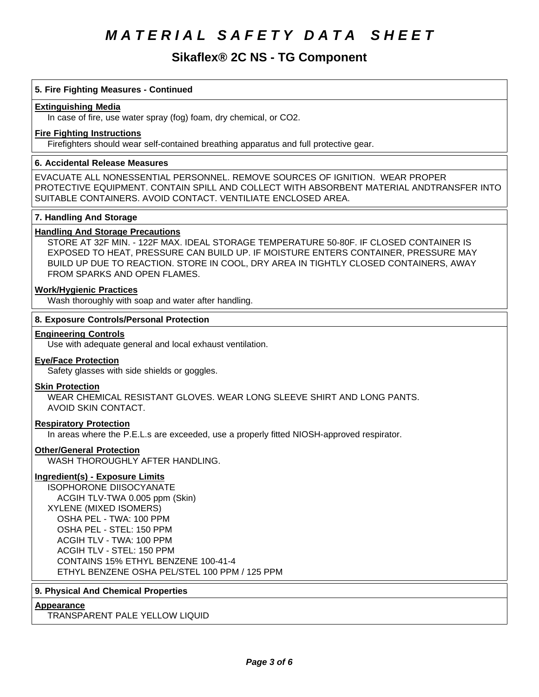# **Sikaflex® 2C NS - TG Component**

### **5. Fire Fighting Measures - Continued**

#### **Extinguishing Media**

In case of fire, use water spray (fog) foam, dry chemical, or CO2.

#### **Fire Fighting Instructions**

Firefighters should wear self-contained breathing apparatus and full protective gear.

#### **6. Accidental Release Measures**

EVACUATE ALL NONESSENTIAL PERSONNEL. REMOVE SOURCES OF IGNITION. WEAR PROPER PROTECTIVE EQUIPMENT. CONTAIN SPILL AND COLLECT WITH ABSORBENT MATERIAL ANDTRANSFER INTO SUITABLE CONTAINERS. AVOID CONTACT. VENTILIATE ENCLOSED AREA.

#### **7. Handling And Storage**

#### **Handling And Storage Precautions**

STORE AT 32F MIN. - 122F MAX. IDEAL STORAGE TEMPERATURE 50-80F. IF CLOSED CONTAINER IS EXPOSED TO HEAT, PRESSURE CAN BUILD UP. IF MOISTURE ENTERS CONTAINER, PRESSURE MAY BUILD UP DUE TO REACTION. STORE IN COOL, DRY AREA IN TIGHTLY CLOSED CONTAINERS, AWAY FROM SPARKS AND OPEN FLAMES.

## **Work/Hygienic Practices**

Wash thoroughly with soap and water after handling.

#### **8. Exposure Controls/Personal Protection**

#### **Engineering Controls**

Use with adequate general and local exhaust ventilation.

#### **Eye/Face Protection**

Safety glasses with side shields or goggles.

#### **Skin Protection**

WEAR CHEMICAL RESISTANT GLOVES. WEAR LONG SLEEVE SHIRT AND LONG PANTS. AVOID SKIN CONTACT.

#### **Respiratory Protection**

In areas where the P.E.L.s are exceeded, use a properly fitted NIOSH-approved respirator.

#### **Other/General Protection**

WASH THOROUGHLY AFTER HANDLING.

#### **Ingredient(s) - Exposure Limits**

ISOPHORONE DIISOCYANATE ACGIH TLV-TWA 0.005 ppm (Skin) XYLENE (MIXEDISOMERS) OSHA PEL - TWA: 100 PPM OSHA PEL - STEL: 150 PPM ACGIHTLV - TWA: 100 PPM ACGIHTLV - STEL: 150 PPM CONTAINS 15% ETHYL BENZENE 100-41-4 ETHYL BENZENE OSHA PEL/STEL 100 PPM / 125 PPM

## **9. Physical And Chemical Properties**

#### **Appearance**

TRANSPARENT PALE YELLOW LIQUID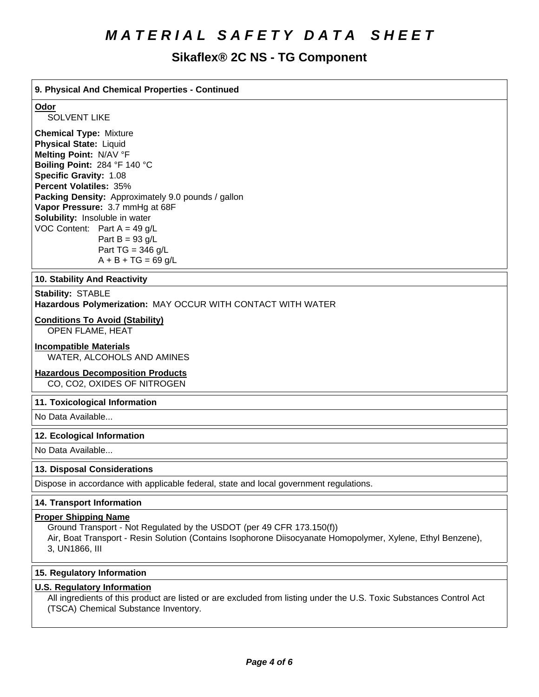# **Sikaflex® 2C NS - TG Component**

## **9. PhysicalAnd Chemical Properties- Continued**

### **Odor**

SOLVENT LIKE

**Chemical Type:** Mixture **Physical State:** Liquid **Melting Point:** N/AV°F **Boiling Point:** 284°F140°C **Specific Gravity:** 1.08 **Percent Volatiles:** 35% **Packing Density:** Approximately 9.0 pounds / gallon Vapor Pressure: 3.7 mmHg at 68F **Solubility:** Insoluble in water VOC Content: Part  $A = 49$  g/L Part  $B = 93$  g/L Part TG =  $346$  g/L  $A + B + TG = 69$  g/L

#### **10. Stability And Reactivity**

#### **Stability: STABLE**

Hazardous Polymerization: MAY OCCUR WITH CONTACT WITH WATER

### **Conditions To Avoid (Stability)**

OPEN FLAME, HEAT

#### **Incompatible Materials**

WATER, ALCOHOLS AND AMINES

### **Hazardous Decomposition Products**

CO, CO2, OXIDES OF NITROGEN

#### **11. Toxicological Information**

No Data Available...

#### **12. Ecological Information**

No Data Available...

#### **13. Disposal Considerations**

Dispose in accordance with applicable federal, state and local government regulations.

### **14. Transport Information**

#### **Proper Shipping Name**

Ground Transport - Not Regulated by the USDOT (per 49 CFR 173.150(f))

Air, Boat Transport - Resin Solution (Contains Isophorone Diisocyanate Homopolymer, Xylene, Ethyl Benzene), 3,UN1866,III

#### **15. Regulatory Information**

#### **U.S. Regulatory Information**

All ingredients of this product are listed or are excluded from listing under the U.S. Toxic Substances Control Act (TSCA) Chemical Substance Inventory.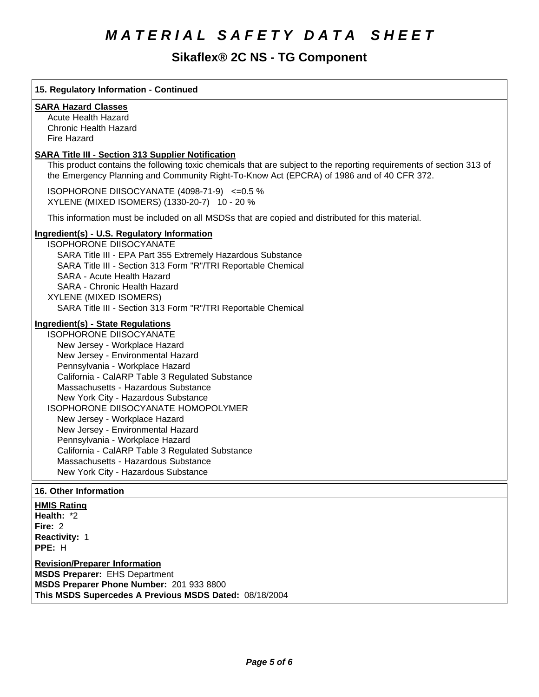# **Sikaflex® 2C NS - TG Component**

# **15. Regulatory Information - Continued SARA Hazard Classes** Acute Health Hazard Chronic Health Hazard Fire Hazard **SARA Title III - Section 313 Supplier Notification** This product contains the following toxic chemicals that are subject to the reporting requirements of section 313 of the Emergency Planning and Community Right-To-Know Act (EPCRA) of 1986 and of 40 CFR 372. ISOPHORONE DIISOCYANATE (4098-71-9) <= 0.5 % XYLENE(MIXEDISOMERS)(1330-20-7) 10-20% This information must be included on all MSDSs that are copied and distributed for this material. **Ingredient(s) - U.S. Regulatory Information** ISOPHORONE DIISOCYANATE SARA Title III - EPA Part 355 Extremely Hazardous Substance SARA Title III - Section 313 Form "R"/TRI Reportable Chemical SARA - Acute Health Hazard SARA - Chronic Health Hazard XYLENE (MIXEDISOMERS) SARA Title III - Section 313 Form "R"/TRI Reportable Chemical **Ingredient(s) - State Regulations** ISOPHORONE DIISOCYANATE New Jersey - Workplace Hazard New Jersey - Environmental Hazard Pennsylvania - Workplace Hazard California - CalARP Table 3 Regulated Substance Massachusetts - Hazardous Substance New York City - Hazardous Substance ISOPHORONE DIISOCYANATE HOMOPOLYMER New Jersey - Workplace Hazard New Jersey - Environmental Hazard Pennsylvania - Workplace Hazard California - CalARP Table 3 Regulated Substance Massachusetts - Hazardous Substance New York City - Hazardous Substance **16. Other Information HMIS Rating Health: \*2 Fire: 2 Reactivity: 1 PPE: H Revision/Preparer Information MSDS Preparer:** EHS Department **MSDS Preparer Phone Number:** 201 933 8800

This MSDS Supercedes A Previous MSDS Dated: 08/18/2004